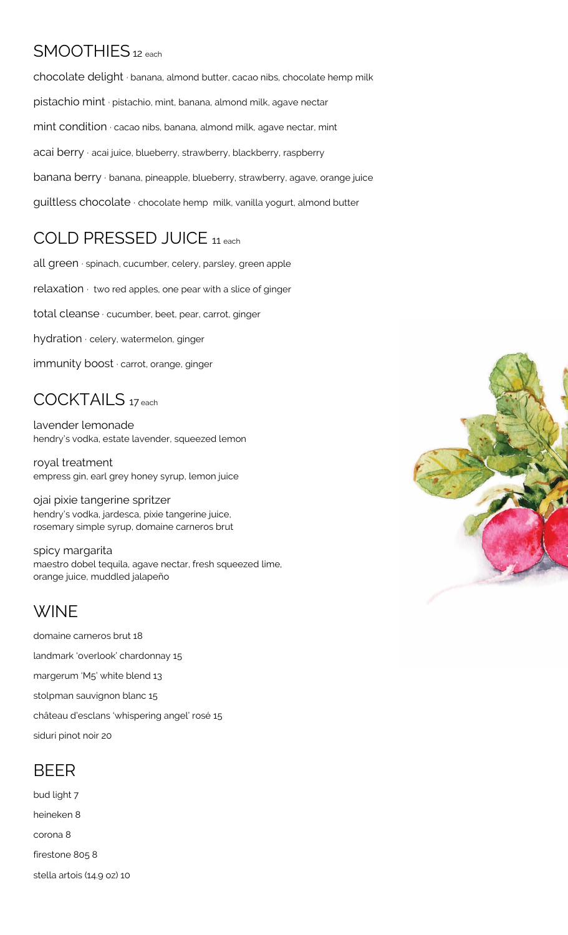## SMOOTHIES<sub>12</sub> each

chocolate delight ∙ banana, almond butter, cacao nibs, chocolate hemp milk pistachio mint ∙ pistachio, mint, banana, almond milk, agave nectar mint condition ∙ cacao nibs, banana, almond milk, agave nectar, mint acai berry ∙ acai juice, blueberry, strawberry, blackberry, raspberry banana berry ∙ banana, pineapple, blueberry, strawberry, agave, orange juice guiltless chocolate ∙ chocolate hemp milk, vanilla yogurt, almond butter

## COLD PRESSED JUICE <sup>11</sup>each

all green ∙ spinach, cucumber, celery, parsley, green apple relaxation ∙ two red apples, one pear with a slice of ginger total cleanse ∙ cucumber, beet, pear, carrot, ginger hydration ∙ celery, watermelon, ginger immunity boost ∙ carrot, orange, ginger

## COCKTAILS <sup>17</sup> each

lavender lemonade hendry's vodka, estate lavender, squeezed lemon

royal treatment empress gin, earl grey honey syrup, lemon juice

ojai pixie tangerine spritzer hendry's vodka, jardesca, pixie tangerine juice, rosemary simple syrup, domaine carneros brut

spicy margarita maestro dobel tequila, agave nectar, fresh squeezed lime, orange juice, muddled jalapeño

# **WINF**

domaine carneros brut 18 landmark 'overlook' chardonnay 15 margerum 'M5' white blend 13 stolpman sauvignon blanc 15 château d'esclans 'whispering angel' rosé 15 siduri pinot noir 20

### BEER

bud light 7 heineken 8 corona 8 firestone 805 8 stella artois (14.9 oz) 10